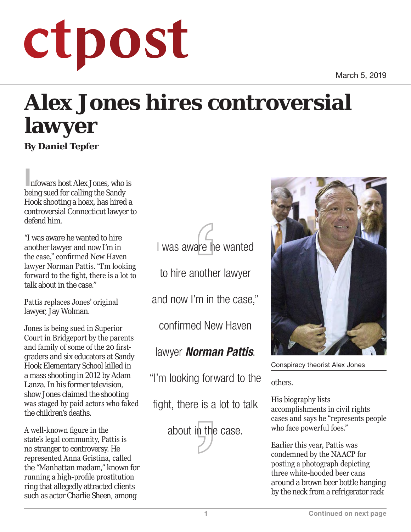March 5, 2019

## ctpost

## **Alex Jones hires controversial lawyer By Daniel Tepfer**

Infowars host Alex Jones, who is being sued for calling the Sandy Hook shooting a hoax, has hired a controversial Connecticut lawyer to defend him.

"I was aware he wanted to hire another lawyer and now I'm in the case," confirmed New Haven lawyer Norman Pattis. "I'm looking forward to the fight, there is a lot to talk about in the case."

Pattis replaces Jones' original lawyer, Jay Wolman.

Jones is being sued in Superior Court in Bridgeport by the parents and family of some of the 20 firstgraders and six educators at Sandy Hook Elementary School killed in a mass shooting in 2012 by Adam Lanza. In his former television, show Jones claimed the shooting was staged by paid actors who faked the children's deaths.

A well-known figure in the state's legal community, Pattis is no stranger to controversy. He represented Anna Gristina, called the "Manhattan madam," known for running a high-profile prostitution ring that allegedly attracted clients such as actor Charlie Sheen, among



to hire another lawyer

and now I'm in the case,"

confirmed New Haven

lawyer *Norman Pattis*.

"I'm looking forward to the

fight, there is a lot to talk





Conspiracy theorist Alex Jones

others.

His biography lists accomplishments in civil rights cases and says he "represents people who face powerful foes."

Earlier this year, Pattis was condemned by the NAACP for posting a photograph depicting three white-hooded beer cans around a brown beer bottle hanging by the neck from a refrigerator rack